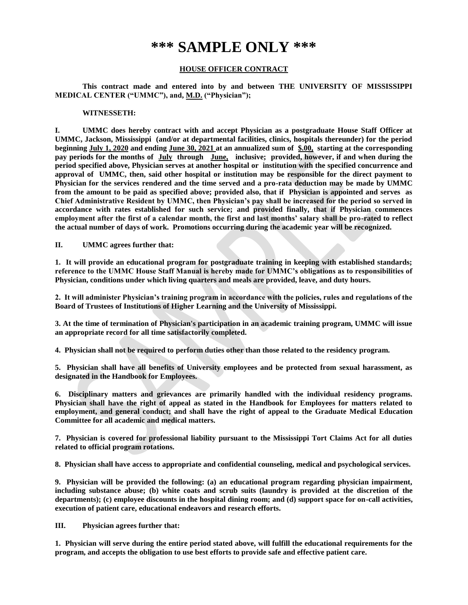## **\*\*\* SAMPLE ONLY \*\*\***

## **HOUSE OFFICER CONTRACT**

**This contract made and entered into by and between THE UNIVERSITY OF MISSISSIPPI MEDICAL CENTER ("UMMC"), and, M.D. ("Physician");**

## **WITNESSETH:**

**I. UMMC does hereby contract with and accept Physician as a postgraduate House Staff Officer at UMMC, Jackson, Mississippi (and/or at departmental facilities, clinics, hospitals thereunder) for the period beginning July 1, 2020 and ending June 30, 2021 at an annualized sum of \$.00, starting at the corresponding pay periods for the months of July through June, inclusive; provided, however, if and when during the period specified above, Physician serves at another hospital or institution with the specified concurrence and approval of UMMC, then, said other hospital or institution may be responsible for the direct payment to Physician for the services rendered and the time served and a pro-rata deduction may be made by UMMC from the amount to be paid as specified above; provided also, that if Physician is appointed and serves as Chief Administrative Resident by UMMC, then Physician's pay shall be increased for the period so served in accordance with rates established for such service; and provided finally, that if Physician commences employment after the first of a calendar month, the first and last months' salary shall be pro-rated to reflect the actual number of days of work. Promotions occurring during the academic year will be recognized.**

**II. UMMC agrees further that:**

**1. It will provide an educational program for postgraduate training in keeping with established standards; reference to the UMMC House Staff Manual is hereby made for UMMC's obligations as to responsibilities of Physician, conditions under which living quarters and meals are provided, leave, and duty hours.**

**2. It will administer Physician's training program in accordance with the policies, rules and regulations of the Board of Trustees of Institutions of Higher Learning and the University of Mississippi.**

**3. At the time of termination of Physician's participation in an academic training program, UMMC will issue an appropriate record for all time satisfactorily completed.**

**4. Physician shall not be required to perform duties other than those related to the residency program.**

**5. Physician shall have all benefits of University employees and be protected from sexual harassment, as designated in the Handbook for Employees.**

**6. Disciplinary matters and grievances are primarily handled with the individual residency programs. Physician shall have the right of appeal as stated in the Handbook for Employees for matters related to employment, and general conduct; and shall have the right of appeal to the Graduate Medical Education Committee for all academic and medical matters.**

**7. Physician is covered for professional liability pursuant to the Mississippi Tort Claims Act for all duties related to official program rotations.**

**8. Physician shall have access to appropriate and confidential counseling, medical and psychological services.**

**9. Physician will be provided the following: (a) an educational program regarding physician impairment, including substance abuse; (b) white coats and scrub suits (laundry is provided at the discretion of the departments); (c) employee discounts in the hospital dining room; and (d) support space for on-call activities, execution of patient care, educational endeavors and research efforts.**

**III. Physician agrees further that:**

**1. Physician will serve during the entire period stated above, will fulfill the educational requirements for the program, and accepts the obligation to use best efforts to provide safe and effective patient care.**